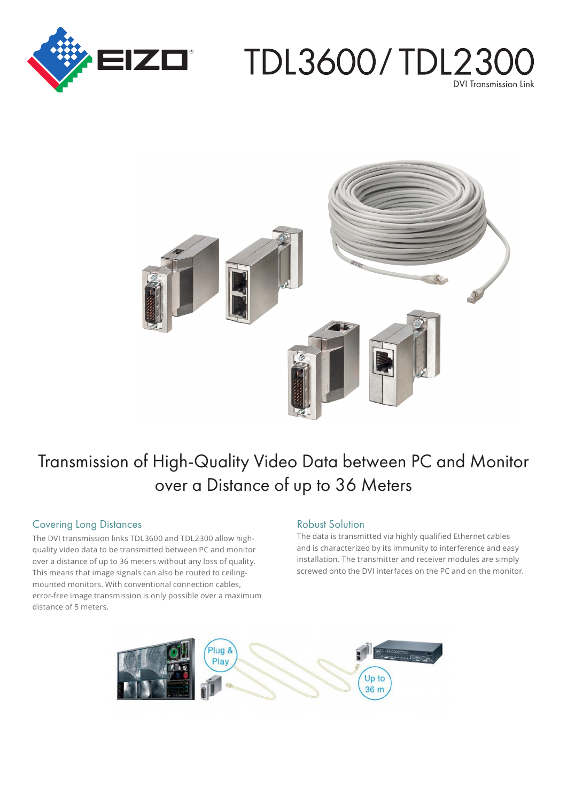

# TDL3600/TDL230 DVI Transmission Link



# Transmission of High-Quality Video Data between PC and Monitor over a Distance of up to 36 Meters

#### **Covering Long Distances**

quality video data to be transmitted between PC and monitor The DVI transmission links TDL3600 and TDL2300 allow highover a distance of up to 36 meters without any loss of quality. mounted monitors. With conventional connection cables, This means that image signals can also be routed to ceilingerror-free image transmission is only possible over a maximum distance of 5 meters.

#### **Robust Solution**

The data is transmitted via highly qualified Ethernet cables and is characterized by its immunity to interference and easy installation. The transmitter and receiver modules are simply screwed onto the DVI interfaces on the PC and on the monitor